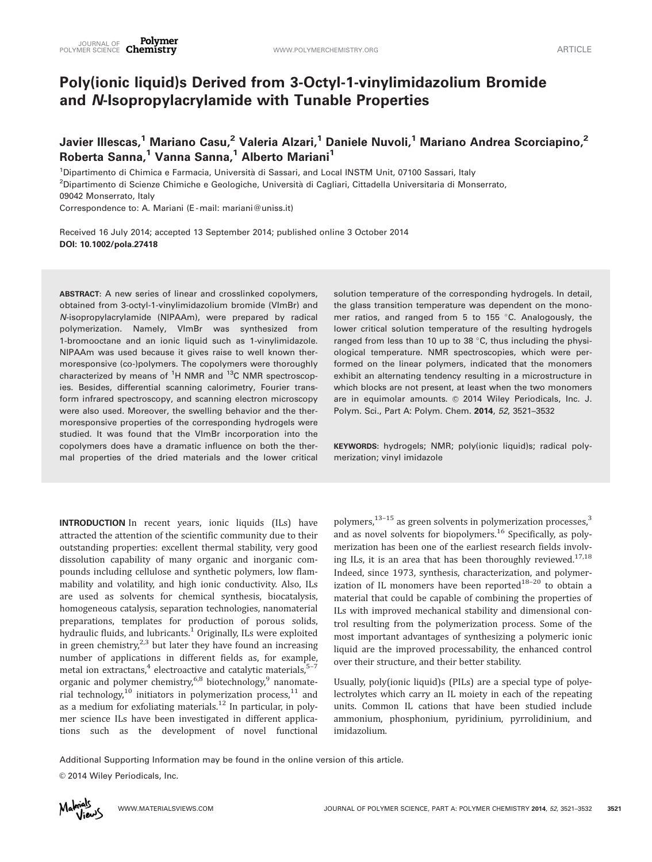# Poly(ionic liquid)s Derived from 3-Octyl-1-vinylimidazolium Bromide and N-Isopropylacrylamide with Tunable Properties

Javier Illescas,<sup>1</sup> Mariano Casu,<sup>2</sup> Valeria Alzari,<sup>1</sup> Daniele Nuvoli,<sup>1</sup> Mariano Andrea Scorciapino,<sup>2</sup> Roberta Sanna,<sup>1</sup> Vanna Sanna,<sup>1</sup> Alberto Mariani<sup>1</sup>

<sup>1</sup>Dipartimento di Chimica e Farmacia, Università di Sassari, and Local INSTM Unit, 07100 Sassari, Italy <sup>2</sup>Dipartimento di Scienze Chimiche e Geologiche, Università di Cagliari, Cittadella Universitaria di Monserrato, 09042 Monserrato, Italy

Correspondence to: A. Mariani (E-mail: mariani@uniss.it)

Received 16 July 2014; accepted 13 September 2014; published online 3 October 2014 DOI: 10.1002/pola.27418

ABSTRACT: A new series of linear and crosslinked copolymers, obtained from 3-octyl-1-vinylimidazolium bromide (VImBr) and N-isopropylacrylamide (NIPAAm), were prepared by radical polymerization. Namely, VImBr was synthesized from 1-bromooctane and an ionic liquid such as 1-vinylimidazole. NIPAAm was used because it gives raise to well known thermoresponsive (co-)polymers. The copolymers were thoroughly characterized by means of <sup>1</sup>H NMR and <sup>13</sup>C NMR spectroscopies. Besides, differential scanning calorimetry, Fourier transform infrared spectroscopy, and scanning electron microscopy were also used. Moreover, the swelling behavior and the thermoresponsive properties of the corresponding hydrogels were studied. It was found that the VImBr incorporation into the copolymers does have a dramatic influence on both the thermal properties of the dried materials and the lower critical

INTRODUCTION In recent years, ionic liquids (ILs) have attracted the attention of the scientific community due to their outstanding properties: excellent thermal stability, very good dissolution capability of many organic and inorganic compounds including cellulose and synthetic polymers, low flammability and volatility, and high ionic conductivity. Also, ILs are used as solvents for chemical synthesis, biocatalysis, homogeneous catalysis, separation technologies, nanomaterial preparations, templates for production of porous solids, hydraulic fluids, and lubricants.<sup>1</sup> Originally, ILs were exploited in green chemistry, $2,3$  but later they have found an increasing number of applications in different fields as, for example, metal ion extractans, $4$  electroactive and catalytic materials, $5-7$ organic and polymer chemistry,<sup>6,8</sup> biotechnology,<sup>9</sup> nanomaterial technology,<sup>10</sup> initiators in polymerization process,<sup>11</sup> and as a medium for exfoliating materials. $^{12}$  In particular, in polymer science ILs have been investigated in different applications such as the development of novel functional

solution temperature of the corresponding hydrogels. In detail, the glass transition temperature was dependent on the monomer ratios, and ranged from 5 to 155  $\degree$ C. Analogously, the lower critical solution temperature of the resulting hydrogels ranged from less than 10 up to 38  $\degree$ C, thus including the physiological temperature. NMR spectroscopies, which were performed on the linear polymers, indicated that the monomers exhibit an alternating tendency resulting in a microstructure in which blocks are not present, at least when the two monomers are in equimolar amounts. © 2014 Wiley Periodicals, Inc. J. Polym. Sci., Part A: Polym. Chem. 2014, 52, 3521–3532

KEYWORDS: hydrogels; NMR; poly(ionic liquid)s; radical polymerization; vinyl imidazole

polymers, $^{13-15}$  as green solvents in polymerization processes, $^3$ and as novel solvents for biopolymers.<sup>16</sup> Specifically, as polymerization has been one of the earliest research fields involving ILs, it is an area that has been thoroughly reviewed.<sup>17,18</sup> Indeed, since 1973, synthesis, characterization, and polymerization of IL monomers have been reported $^{18-20}$  to obtain a material that could be capable of combining the properties of ILs with improved mechanical stability and dimensional control resulting from the polymerization process. Some of the most important advantages of synthesizing a polymeric ionic liquid are the improved processability, the enhanced control over their structure, and their better stability.

Usually, poly(ionic liquid)s (PILs) are a special type of polyelectrolytes which carry an IL moiety in each of the repeating units. Common IL cations that have been studied include ammonium, phosphonium, pyridinium, pyrrolidinium, and imidazolium.

Additional Supporting Information may be found in the online version of this article.

 $©$  2014 Wiley Periodicals, Inc.

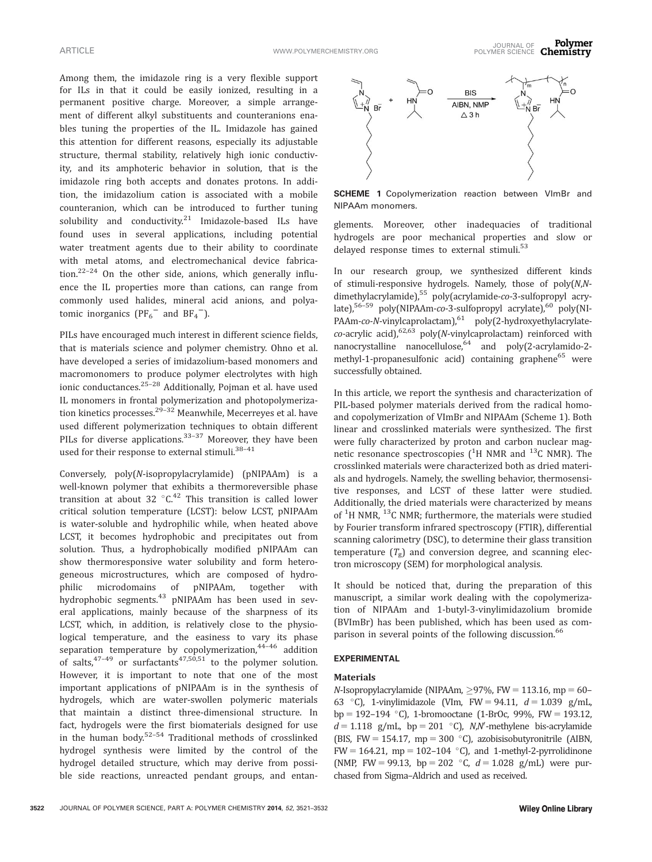Among them, the imidazole ring is a very flexible support for ILs in that it could be easily ionized, resulting in a permanent positive charge. Moreover, a simple arrangement of different alkyl substituents and counteranions enables tuning the properties of the IL. Imidazole has gained this attention for different reasons, especially its adjustable structure, thermal stability, relatively high ionic conductivity, and its amphoteric behavior in solution, that is the imidazole ring both accepts and donates protons. In addition, the imidazolium cation is associated with a mobile counteranion, which can be introduced to further tuning solubility and conductivity.<sup>21</sup> Imidazole-based ILs have found uses in several applications, including potential water treatment agents due to their ability to coordinate with metal atoms, and electromechanical device fabrication. $22-24$  On the other side, anions, which generally influence the IL properties more than cations, can range from commonly used halides, mineral acid anions, and polyatomic inorganics  $(PF_6^-$  and  $BF_4^-$ ).

PILs have encouraged much interest in different science fields, that is materials science and polymer chemistry. Ohno et al. have developed a series of imidazolium-based monomers and macromonomers to produce polymer electrolytes with high ionic conductances.25–28 Additionally, Pojman et al. have used IL monomers in frontal polymerization and photopolymerization kinetics processes. $29-32$  Meanwhile, Mecerreyes et al. have used different polymerization techniques to obtain different PILs for diverse applications.<sup>33-37</sup> Moreover, they have been used for their response to external stimuli.<sup>38-41</sup>

Conversely, poly(N-isopropylacrylamide) (pNIPAAm) is a well-known polymer that exhibits a thermoreversible phase transition at about 32  $\mathrm{^{\circ}C^{42}}$  This transition is called lower critical solution temperature (LCST): below LCST, pNIPAAm is water-soluble and hydrophilic while, when heated above LCST, it becomes hydrophobic and precipitates out from solution. Thus, a hydrophobically modified pNIPAAm can show thermoresponsive water solubility and form heterogeneous microstructures, which are composed of hydrophilic microdomains of pNIPAAm, together with hydrophobic segments.<sup>43</sup> pNIPAAm has been used in several applications, mainly because of the sharpness of its LCST, which, in addition, is relatively close to the physiological temperature, and the easiness to vary its phase separation temperature by copolymerization,  $44-46$  addition of salts,  $47-49$  or surfactants  $47,50,51$  to the polymer solution. However, it is important to note that one of the most important applications of pNIPAAm is in the synthesis of hydrogels, which are water-swollen polymeric materials that maintain a distinct three-dimensional structure. In fact, hydrogels were the first biomaterials designed for use in the human body.52–54 Traditional methods of crosslinked hydrogel synthesis were limited by the control of the hydrogel detailed structure, which may derive from possible side reactions, unreacted pendant groups, and entan-



**SCHEME 1** Copolymerization reaction between VImBr and NIPAAm monomers.

glements. Moreover, other inadequacies of traditional hydrogels are poor mechanical properties and slow or delayed response times to external stimuli. $53$ 

In our research group, we synthesized different kinds of stimuli-responsive hydrogels. Namely, those of poly(N,Ndimethylacrylamide),<sup>55</sup> poly(acrylamide-co-3-sulfopropyl acrylate),<sup>56–59</sup> poly(NIPAAm-co-3-sulfopropyl acrylate),<sup>60</sup> poly(NI-PAAm-co-N-vinylcaprolactam),<sup>61</sup> poly(2-hydroxyethylacrylate $co$ -acrylic acid),<sup>62,63</sup> poly(N-vinylcaprolactam) reinforced with nanocrystalline nanocellulose,<sup>64</sup> and poly(2-acrylamido-2methyl-1-propanesulfonic acid) containing graphene<sup>65</sup> were successfully obtained.

In this article, we report the synthesis and characterization of PIL-based polymer materials derived from the radical homoand copolymerization of VImBr and NIPAAm (Scheme 1). Both linear and crosslinked materials were synthesized. The first were fully characterized by proton and carbon nuclear magnetic resonance spectroscopies ( ${}^{1}H$  NMR and  ${}^{13}C$  NMR). The crosslinked materials were characterized both as dried materials and hydrogels. Namely, the swelling behavior, thermosensitive responses, and LCST of these latter were studied. Additionally, the dried materials were characterized by means of  ${}^{1}$ H NMR,  ${}^{13}$ C NMR; furthermore, the materials were studied by Fourier transform infrared spectroscopy (FTIR), differential scanning calorimetry (DSC), to determine their glass transition temperature  $(T_{\sigma})$  and conversion degree, and scanning electron microscopy (SEM) for morphological analysis.

It should be noticed that, during the preparation of this manuscript, a similar work dealing with the copolymerization of NIPAAm and 1-butyl-3-vinylimidazolium bromide (BVImBr) has been published, which has been used as comparison in several points of the following discussion.<sup>66</sup>

#### EXPERIMENTAL

#### Materials

N-Isopropylacrylamide (NIPAAm,  $\geq$ 97%, FW = 113.16, mp = 60– 63 °C), 1-vinylimidazole (Vlm, FW = 94.11,  $d = 1.039$  g/mL, bp = 192–194 °C), 1-bromooctane (1-BrOc, 99%, FW = 193.12,  $d=1.118$  g/mL, bp = 201 °C), N,N'-methylene bis-acrylamide (BIS, FW = 154.17, mp = 300 °C), azobisisobutyronitrile (AIBN,  $FW = 164.21$ , mp = 102-104 °C), and 1-methyl-2-pyrrolidinone (NMP, FW = 99.13, bp = 202 °C,  $d = 1.028$  g/mL) were purchased from Sigma–Aldrich and used as received.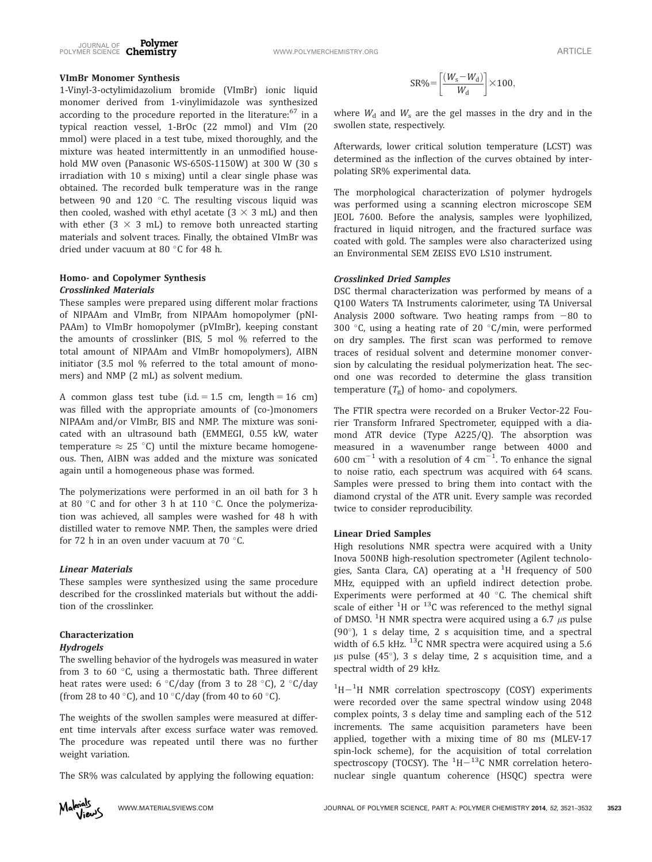

## VImBr Monomer Synthesis

1-Vinyl-3-octylimidazolium bromide (VImBr) ionic liquid monomer derived from 1-vinylimidazole was synthesized according to the procedure reported in the literature: $67$  in a typical reaction vessel, 1-BrOc (22 mmol) and VIm (20 mmol) were placed in a test tube, mixed thoroughly, and the mixture was heated intermittently in an unmodified household MW oven (Panasonic WS-650S-1150W) at 300 W (30 s irradiation with 10 s mixing) until a clear single phase was obtained. The recorded bulk temperature was in the range between 90 and 120 $^{\circ}$ C. The resulting viscous liquid was then cooled, washed with ethyl acetate  $(3 \times 3 \text{ mL})$  and then with ether  $(3 \times 3 \text{ mL})$  to remove both unreacted starting materials and solvent traces. Finally, the obtained VImBr was dried under vacuum at 80 °C for 48 h.

## Homo- and Copolymer Synthesis Crosslinked Materials

These samples were prepared using different molar fractions of NIPAAm and VImBr, from NIPAAm homopolymer (pNI-PAAm) to VImBr homopolymer (pVImBr), keeping constant the amounts of crosslinker (BIS, 5 mol % referred to the total amount of NIPAAm and VImBr homopolymers), AIBN initiator (3.5 mol % referred to the total amount of monomers) and NMP (2 mL) as solvent medium.

A common glass test tube (i.d.  $= 1.5$  cm, length  $= 16$  cm) was filled with the appropriate amounts of (co-)monomers NIPAAm and/or VImBr, BIS and NMP. The mixture was sonicated with an ultrasound bath (EMMEGI, 0.55 kW, water temperature  $\approx 25$  °C) until the mixture became homogeneous. Then, AIBN was added and the mixture was sonicated again until a homogeneous phase was formed.

The polymerizations were performed in an oil bath for 3 h at 80 $\degree$ C and for other 3 h at 110 $\degree$ C. Once the polymerization was achieved, all samples were washed for 48 h with distilled water to remove NMP. Then, the samples were dried for 72 h in an oven under vacuum at 70  $^{\circ}$ C.

#### Linear Materials

These samples were synthesized using the same procedure described for the crosslinked materials but without the addition of the crosslinker.

## Characterization

#### Hydrogels

The swelling behavior of the hydrogels was measured in water from 3 to 60 $^{\circ}$ C, using a thermostatic bath. Three different heat rates were used: 6  $\degree$ C/day (from 3 to 28  $\degree$ C), 2  $\degree$ C/day (from 28 to 40 °C), and 10 °C/day (from 40 to 60 °C).

The weights of the swollen samples were measured at different time intervals after excess surface water was removed. The procedure was repeated until there was no further weight variation.

The SR% was calculated by applying the following equation:

$$
SR\% = \left[\frac{(W_s - W_d)}{W_d}\right] \times 100,
$$

where  $W_d$  and  $W_s$  are the gel masses in the dry and in the swollen state, respectively.

Afterwards, lower critical solution temperature (LCST) was determined as the inflection of the curves obtained by interpolating SR% experimental data.

The morphological characterization of polymer hydrogels was performed using a scanning electron microscope SEM JEOL 7600. Before the analysis, samples were lyophilized, fractured in liquid nitrogen, and the fractured surface was coated with gold. The samples were also characterized using an Environmental SEM ZEISS EVO LS10 instrument.

## Crosslinked Dried Samples

DSC thermal characterization was performed by means of a Q100 Waters TA Instruments calorimeter, using TA Universal Analysis 2000 software. Two heating ramps from  $-80$  to 300 °C, using a heating rate of 20 °C/min, were performed on dry samples. The first scan was performed to remove traces of residual solvent and determine monomer conversion by calculating the residual polymerization heat. The second one was recorded to determine the glass transition temperature  $(T_g)$  of homo- and copolymers.

The FTIR spectra were recorded on a Bruker Vector-22 Fourier Transform Infrared Spectrometer, equipped with a diamond ATR device (Type A225/Q). The absorption was measured in a wavenumber range between 4000 and 600  $\text{cm}^{-1}$  with a resolution of 4  $\text{cm}^{-1}$ . To enhance the signal to noise ratio, each spectrum was acquired with 64 scans. Samples were pressed to bring them into contact with the diamond crystal of the ATR unit. Every sample was recorded twice to consider reproducibility.

#### Linear Dried Samples

High resolutions NMR spectra were acquired with a Unity Inova 500NB high-resolution spectrometer (Agilent technologies, Santa Clara, CA) operating at a <sup>1</sup>H frequency of 500 MHz, equipped with an upfield indirect detection probe. Experiments were performed at 40 $\degree$ C. The chemical shift scale of either  $^{1}$ H or  $^{13}$ C was referenced to the methyl signal of DMSO. <sup>1</sup>H NMR spectra were acquired using a 6.7  $\mu$ s pulse (90°), 1 s delay time, 2 s acquisition time, and a spectral width of 6.5 kHz.  $^{13}$ C NMR spectra were acquired using a 5.6  $\mu$ s pulse (45°), 3 s delay time, 2 s acquisition time, and a spectral width of 29 kHz.

 $1H-1H$  NMR correlation spectroscopy (COSY) experiments were recorded over the same spectral window using 2048 complex points, 3 s delay time and sampling each of the 512 increments. The same acquisition parameters have been applied, together with a mixing time of 80 ms (MLEV-17 spin-lock scheme), for the acquisition of total correlation spectroscopy (TOCSY). The  $^1\mathrm{H}-^{13}\mathrm{C}$  NMR correlation heteronuclear single quantum coherence (HSQC) spectra were

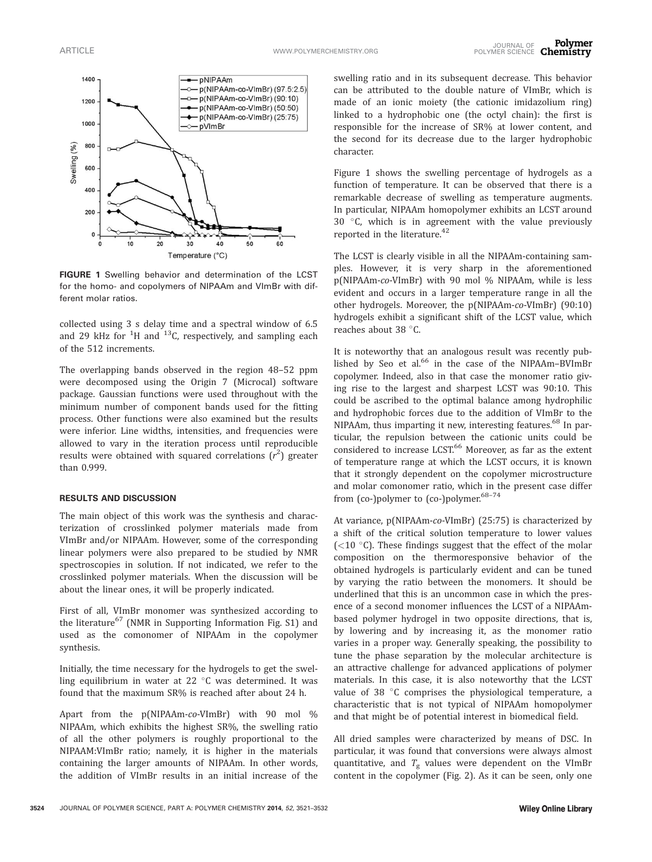

FIGURE 1 Swelling behavior and determination of the LCST for the homo- and copolymers of NIPAAm and VImBr with different molar ratios.

collected using 3 s delay time and a spectral window of 6.5 and 29 kHz for  $^1$ H and  $^{13}$ C, respectively, and sampling each of the 512 increments.

The overlapping bands observed in the region 48–52 ppm were decomposed using the Origin 7 (Microcal) software package. Gaussian functions were used throughout with the minimum number of component bands used for the fitting process. Other functions were also examined but the results were inferior. Line widths, intensities, and frequencies were allowed to vary in the iteration process until reproducible results were obtained with squared correlations  $(r^2)$  greater than 0.999.

## RESULTS AND DISCUSSION

The main object of this work was the synthesis and characterization of crosslinked polymer materials made from VImBr and/or NIPAAm. However, some of the corresponding linear polymers were also prepared to be studied by NMR spectroscopies in solution. If not indicated, we refer to the crosslinked polymer materials. When the discussion will be about the linear ones, it will be properly indicated.

First of all, VImBr monomer was synthesized according to the literature<sup>67</sup> (NMR in Supporting Information Fig. S1) and used as the comonomer of NIPAAm in the copolymer synthesis.

Initially, the time necessary for the hydrogels to get the swelling equilibrium in water at 22  $^{\circ}$ C was determined. It was found that the maximum SR% is reached after about 24 h.

Apart from the p(NIPAAm-co-VImBr) with 90 mol % NIPAAm, which exhibits the highest SR%, the swelling ratio of all the other polymers is roughly proportional to the NIPAAM:VImBr ratio; namely, it is higher in the materials containing the larger amounts of NIPAAm. In other words, the addition of VImBr results in an initial increase of the

swelling ratio and in its subsequent decrease. This behavior can be attributed to the double nature of VImBr, which is made of an ionic moiety (the cationic imidazolium ring) linked to a hydrophobic one (the octyl chain): the first is responsible for the increase of SR% at lower content, and the second for its decrease due to the larger hydrophobic character.

Figure 1 shows the swelling percentage of hydrogels as a function of temperature. It can be observed that there is a remarkable decrease of swelling as temperature augments. In particular, NIPAAm homopolymer exhibits an LCST around 30 $\degree$ C, which is in agreement with the value previously reported in the literature. $42$ 

The LCST is clearly visible in all the NIPAAm-containing samples. However, it is very sharp in the aforementioned p(NIPAAm-co-VImBr) with 90 mol % NIPAAm, while is less evident and occurs in a larger temperature range in all the other hydrogels. Moreover, the p(NIPAAm-co-VImBr) (90:10) hydrogels exhibit a significant shift of the LCST value, which reaches about 38  $^{\circ}$ C.

It is noteworthy that an analogous result was recently published by Seo et al. $66$  in the case of the NIPAAm-BVImBr copolymer. Indeed, also in that case the monomer ratio giving rise to the largest and sharpest LCST was 90:10. This could be ascribed to the optimal balance among hydrophilic and hydrophobic forces due to the addition of VImBr to the NIPAAm, thus imparting it new, interesting features.<sup>68</sup> In particular, the repulsion between the cationic units could be considered to increase LCST.<sup>66</sup> Moreover, as far as the extent of temperature range at which the LCST occurs, it is known that it strongly dependent on the copolymer microstructure and molar comonomer ratio, which in the present case differ from (co-)polymer to (co-)polymer.<sup>68-74</sup>

At variance, p(NIPAAm-co-VImBr) (25:75) is characterized by a shift of the critical solution temperature to lower values ( $<$ 10 °C). These findings suggest that the effect of the molar composition on the thermoresponsive behavior of the obtained hydrogels is particularly evident and can be tuned by varying the ratio between the monomers. It should be underlined that this is an uncommon case in which the presence of a second monomer influences the LCST of a NIPAAmbased polymer hydrogel in two opposite directions, that is, by lowering and by increasing it, as the monomer ratio varies in a proper way. Generally speaking, the possibility to tune the phase separation by the molecular architecture is an attractive challenge for advanced applications of polymer materials. In this case, it is also noteworthy that the LCST value of 38  $\degree$ C comprises the physiological temperature, a characteristic that is not typical of NIPAAm homopolymer and that might be of potential interest in biomedical field.

All dried samples were characterized by means of DSC. In particular, it was found that conversions were always almost quantitative, and  $T_{\rm g}$  values were dependent on the VImBr content in the copolymer (Fig. 2). As it can be seen, only one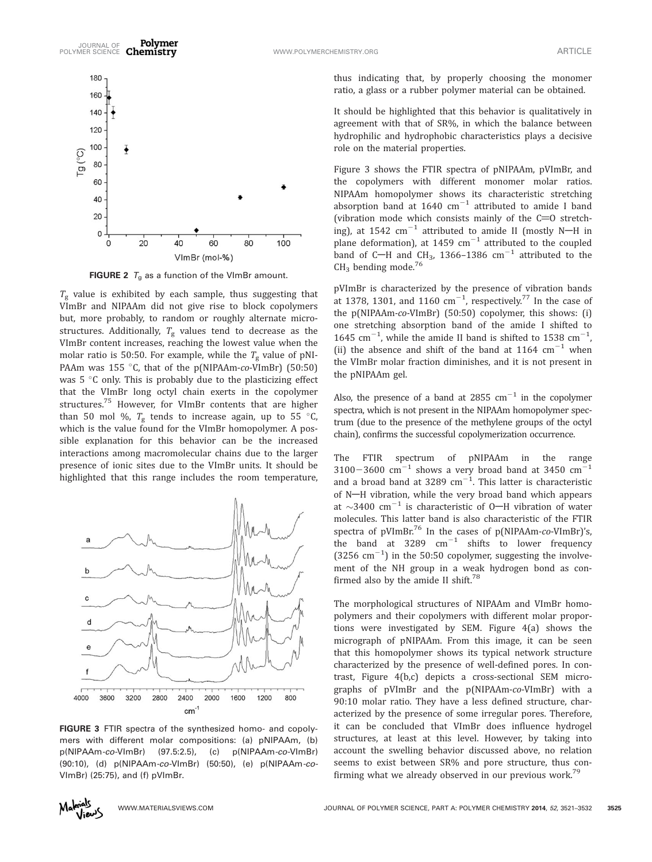

**FIGURE 2**  $T_g$  as a function of the VImBr amount.

 $T_{\rm g}$  value is exhibited by each sample, thus suggesting that VImBr and NIPAAm did not give rise to block copolymers but, more probably, to random or roughly alternate microstructures. Additionally,  $T_g$  values tend to decrease as the VImBr content increases, reaching the lowest value when the molar ratio is 50:50. For example, while the  $T_g$  value of pNI-PAAm was 155 °C, that of the p(NIPAAm-co-VImBr) (50:50) was  $5^{\circ}$ C only. This is probably due to the plasticizing effect that the VImBr long octyl chain exerts in the copolymer structures.75 However, for VImBr contents that are higher than 50 mol %,  $T_{\rm g}$  tends to increase again, up to 55 °C, which is the value found for the VImBr homopolymer. A possible explanation for this behavior can be the increased interactions among macromolecular chains due to the larger presence of ionic sites due to the VImBr units. It should be highlighted that this range includes the room temperature,



FIGURE 3 FTIR spectra of the synthesized homo- and copolymers with different molar compositions: (a) pNIPAAm, (b) p(NIPAAm-co-VImBr) (97.5:2.5), (c) p(NIPAAm-co-VImBr) (90:10), (d) p(NIPAAm-co-VImBr) (50:50), (e) p(NIPAAm-co-VImBr) (25:75), and (f) pVImBr.

thus indicating that, by properly choosing the monomer ratio, a glass or a rubber polymer material can be obtained.

It should be highlighted that this behavior is qualitatively in agreement with that of SR%, in which the balance between hydrophilic and hydrophobic characteristics plays a decisive role on the material properties.

Figure 3 shows the FTIR spectra of pNIPAAm, pVImBr, and the copolymers with different monomer molar ratios. NIPAAm homopolymer shows its characteristic stretching absorption band at 1640  $\text{cm}^{-1}$  attributed to amide I band (vibration mode which consists mainly of the  $C=0$  stretching), at 1542  $cm^{-1}$  attributed to amide II (mostly N-H in plane deformation), at 1459  $\rm cm^{-1}$  attributed to the coupled band of C-H and CH<sub>3</sub>, 1366–1386 cm<sup>-1</sup> attributed to the  $CH<sub>3</sub>$  bending mode.<sup>76</sup>

pVImBr is characterized by the presence of vibration bands at 1378, 1301, and 1160  $\text{cm}^{-1}$ , respectively.<sup>77</sup> In the case of the p(NIPAAm-co-VImBr) (50:50) copolymer, this shows: (i) one stretching absorption band of the amide I shifted to 1645 cm<sup>-1</sup>, while the amide II band is shifted to 1538 cm<sup>-1</sup> , (ii) the absence and shift of the band at 1164  $cm^{-1}$  when the VImBr molar fraction diminishes, and it is not present in the pNIPAAm gel.

Also, the presence of a band at 2855  $cm^{-1}$  in the copolymer spectra, which is not present in the NIPAAm homopolymer spectrum (due to the presence of the methylene groups of the octyl chain), confirms the successful copolymerization occurrence.

The FTIR spectrum of pNIPAAm in the range  $3100-3600$  cm<sup>-1</sup> shows a very broad band at 3450 cm<sup>-1</sup> and a broad band at 3289  $cm^{-1}$ . This latter is characteristic of N-H vibration, while the very broad band which appears at  $\sim$ 3400 cm<sup>-1</sup> is characteristic of O-H vibration of water molecules. This latter band is also characteristic of the FTIR spectra of pVImBr.<sup>76</sup> In the cases of p(NIPAAm-co-VImBr)'s, the band at 3289  $cm^{-1}$  shifts to lower frequency  $(3256 \text{ cm}^{-1})$  in the 50:50 copolymer, suggesting the involvement of the NH group in a weak hydrogen bond as confirmed also by the amide II shift. $78$ 

The morphological structures of NIPAAm and VImBr homopolymers and their copolymers with different molar proportions were investigated by SEM. Figure 4(a) shows the micrograph of pNIPAAm. From this image, it can be seen that this homopolymer shows its typical network structure characterized by the presence of well-defined pores. In contrast, Figure 4(b,c) depicts a cross-sectional SEM micrographs of pVImBr and the p(NIPAAm-co-VImBr) with a 90:10 molar ratio. They have a less defined structure, characterized by the presence of some irregular pores. Therefore, it can be concluded that VImBr does influence hydrogel structures, at least at this level. However, by taking into account the swelling behavior discussed above, no relation seems to exist between SR% and pore structure, thus confirming what we already observed in our previous work. $^{79}$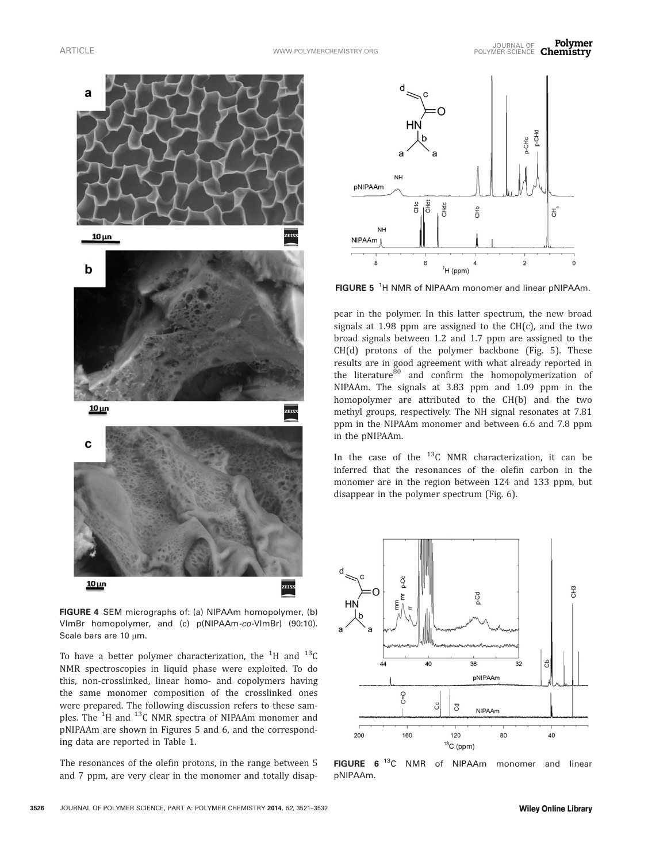

FIGURE 4 SEM micrographs of: (a) NIPAAm homopolymer, (b) VImBr homopolymer, and (c) p(NIPAAm-co-VImBr) (90:10). Scale bars are  $10 \mu m$ .

To have a better polymer characterization, the  $^{1}$ H and  $^{13}$ C NMR spectroscopies in liquid phase were exploited. To do this, non-crosslinked, linear homo- and copolymers having the same monomer composition of the crosslinked ones were prepared. The following discussion refers to these samples. The <sup>1</sup>H and <sup>13</sup>C NMR spectra of NIPAAm monomer and pNIPAAm are shown in Figures 5 and 6, and the corresponding data are reported in Table 1.

The resonances of the olefin protons, in the range between 5 and 7 ppm, are very clear in the monomer and totally disap-



FIGURE 5<sup>1</sup>H NMR of NIPAAm monomer and linear pNIPAAm.

pear in the polymer. In this latter spectrum, the new broad signals at  $1.98$  ppm are assigned to the CH(c), and the two broad signals between 1.2 and 1.7 ppm are assigned to the CH(d) protons of the polymer backbone (Fig. 5). These results are in good agreement with what already reported in the literature<sup>80</sup> and confirm the homopolymerization of NIPAAm. The signals at 3.83 ppm and 1.09 ppm in the homopolymer are attributed to the CH(b) and the two methyl groups, respectively. The NH signal resonates at 7.81 ppm in the NIPAAm monomer and between 6.6 and 7.8 ppm in the pNIPAAm.

In the case of the  $^{13}$ C NMR characterization, it can be inferred that the resonances of the olefin carbon in the monomer are in the region between 124 and 133 ppm, but disappear in the polymer spectrum (Fig. 6).



FIGURE 6<sup>13</sup>C NMR of NIPAAm monomer and linear pNIPAAm.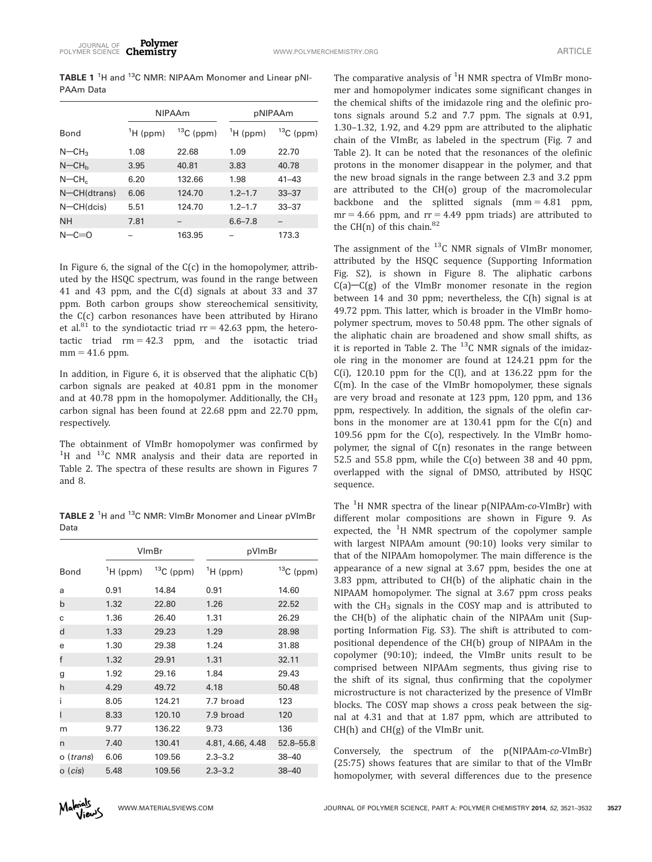TABLE 1<sup>1</sup>H and <sup>13</sup>C NMR: NIPAAm Monomer and Linear pNI-PAAm Data

|                      | <b>NIPAAm</b> |             | pNIPAAm            |             |
|----------------------|---------------|-------------|--------------------|-------------|
| <b>Bond</b>          | $H$ (ppm)     | $13C$ (ppm) | $\mathrm{H}$ (ppm) | $13C$ (ppm) |
| $N$ –CH <sub>3</sub> | 1.08          | 22.68       | 1.09               | 22.70       |
| $N$ –CH <sub>b</sub> | 3.95          | 40.81       | 3.83               | 40.78       |
| $N$ –CH $c$          | 6.20          | 132.66      | 1.98               | $41 - 43$   |
| N-CH(dtrans)         | 6.06          | 124.70      | $1.2 - 1.7$        | $33 - 37$   |
| $N$ –CH $(dcis)$     | 5.51          | 124.70      | $1.2 - 1.7$        | $33 - 37$   |
| NΗ                   | 7.81          |             | $6.6 - 7.8$        |             |
| N $-c=0$             |               | 163.95      |                    | 173.3       |

In Figure 6, the signal of the  $C(c)$  in the homopolymer, attributed by the HSQC spectrum, was found in the range between 41 and 43 ppm, and the C(d) signals at about 33 and 37 ppm. Both carbon groups show stereochemical sensitivity, the C(c) carbon resonances have been attributed by Hirano et al.<sup>81</sup> to the syndiotactic triad  $rr = 42.63$  ppm, the heterotactic triad  $rm = 42.3$  ppm, and the isotactic triad  $mm = 41.6$  ppm.

In addition, in Figure 6, it is observed that the aliphatic C(b) carbon signals are peaked at 40.81 ppm in the monomer and at 40.78 ppm in the homopolymer. Additionally, the  $CH<sub>3</sub>$ carbon signal has been found at 22.68 ppm and 22.70 ppm, respectively.

The obtainment of VImBr homopolymer was confirmed by  $1$ <sup>1</sup>H and  $13$ C NMR analysis and their data are reported in Table 2. The spectra of these results are shown in Figures 7 and 8.

TABLE 2<sup>1</sup>H and <sup>13</sup>C NMR: VImBr Monomer and Linear pVImBr Data

|                  | VlmBr     |             | pVImBr           |             |  |
|------------------|-----------|-------------|------------------|-------------|--|
| Bond             | $H$ (ppm) | $13C$ (ppm) | $^1$ H (ppm)     | $13C$ (ppm) |  |
| a                | 0.91      | 14.84       | 0.91             | 14.60       |  |
| $\mathsf{b}$     | 1.32      | 22.80       | 1.26             | 22.52       |  |
| C                | 1.36      | 26.40       | 1.31             | 26.29       |  |
| d                | 1.33      | 29.23       | 1.29             | 28.98       |  |
| e                | 1.30      | 29.38       | 1.24             | 31.88       |  |
| f                | 1.32      | 29.91       | 1.31             | 32.11       |  |
| g                | 1.92      | 29.16       | 1.84             | 29.43       |  |
| h                | 4.29      | 49.72       | 4.18             | 50.48       |  |
| i                | 8.05      | 124.21      | 7.7 broad        | 123         |  |
| ı                | 8.33      | 120.10      | 7.9 broad        | 120         |  |
| m                | 9.77      | 136.22      | 9.73             | 136         |  |
| n                | 7.40      | 130.41      | 4.81, 4.66, 4.48 | 52.8-55.8   |  |
| o (trans)        | 6.06      | 109.56      | $2.3 - 3.2$      | $38 - 40$   |  |
| o ( <i>cis</i> ) | 5.48      | 109.56      | $2.3 - 3.2$      | $38 - 40$   |  |

The comparative analysis of  ${}^{1}H$  NMR spectra of VImBr monomer and homopolymer indicates some significant changes in the chemical shifts of the imidazole ring and the olefinic protons signals around 5.2 and 7.7 ppm. The signals at 0.91, 1.30–1.32, 1.92, and 4.29 ppm are attributed to the aliphatic chain of the VImBr, as labeled in the spectrum (Fig. 7 and Table 2). It can be noted that the resonances of the olefinic protons in the monomer disappear in the polymer, and that the new broad signals in the range between 2.3 and 3.2 ppm are attributed to the CH(o) group of the macromolecular backbone and the splitted signals  $(mm = 4.81$  ppm,  $mr = 4.66$  ppm, and  $rr = 4.49$  ppm triads) are attributed to the CH(n) of this chain. $82$ 

The assignment of the  $^{13}$ C NMR signals of VImBr monomer, attributed by the HSQC sequence (Supporting Information Fig. S2), is shown in Figure 8. The aliphatic carbons  $C(a)$ - $C(g)$  of the VImBr monomer resonate in the region between 14 and 30 ppm; nevertheless, the C(h) signal is at 49.72 ppm. This latter, which is broader in the VImBr homopolymer spectrum, moves to 50.48 ppm. The other signals of the aliphatic chain are broadened and show small shifts, as it is reported in Table 2. The  $^{13}$ C NMR signals of the imidazole ring in the monomer are found at 124.21 ppm for the  $C(i)$ , 120.10 ppm for the  $C(i)$ , and at 136.22 ppm for the C(m). In the case of the VImBr homopolymer, these signals are very broad and resonate at 123 ppm, 120 ppm, and 136 ppm, respectively. In addition, the signals of the olefin carbons in the monomer are at 130.41 ppm for the C(n) and 109.56 ppm for the C(o), respectively. In the VImBr homopolymer, the signal of C(n) resonates in the range between 52.5 and 55.8 ppm, while the C(o) between 38 and 40 ppm, overlapped with the signal of DMSO, attributed by HSQC sequence.

The <sup>1</sup>H NMR spectra of the linear p(NIPAAm-*co-*VImBr) with different molar compositions are shown in Figure 9. As expected, the  $1H$  NMR spectrum of the copolymer sample with largest NIPAAm amount (90:10) looks very similar to that of the NIPAAm homopolymer. The main difference is the appearance of a new signal at 3.67 ppm, besides the one at 3.83 ppm, attributed to CH(b) of the aliphatic chain in the NIPAAM homopolymer. The signal at 3.67 ppm cross peaks with the  $CH_3$  signals in the COSY map and is attributed to the CH(b) of the aliphatic chain of the NIPAAm unit (Supporting Information Fig. S3). The shift is attributed to compositional dependence of the CH(b) group of NIPAAm in the copolymer (90:10); indeed, the VImBr units result to be comprised between NIPAAm segments, thus giving rise to the shift of its signal, thus confirming that the copolymer microstructure is not characterized by the presence of VImBr blocks. The COSY map shows a cross peak between the signal at 4.31 and that at 1.87 ppm, which are attributed to  $CH(h)$  and  $CH(g)$  of the VImBr unit.

Conversely, the spectrum of the p(NIPAAm-co-VImBr) (25:75) shows features that are similar to that of the VImBr homopolymer, with several differences due to the presence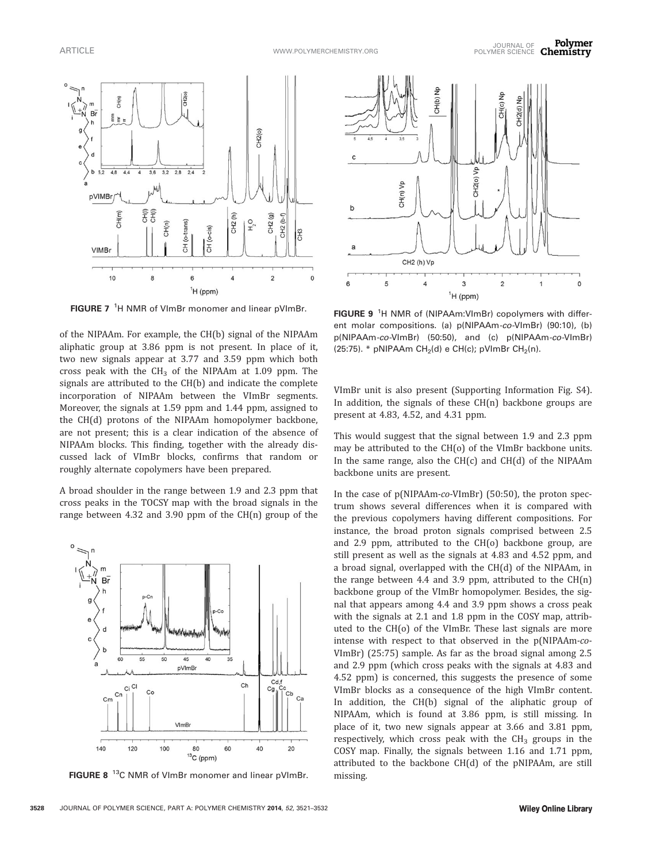

FIGURE 7<sup>1</sup>H NMR of VImBr monomer and linear pVImBr.

of the NIPAAm. For example, the CH(b) signal of the NIPAAm aliphatic group at 3.86 ppm is not present. In place of it, two new signals appear at 3.77 and 3.59 ppm which both cross peak with the  $CH_3$  of the NIPAAm at 1.09 ppm. The signals are attributed to the CH(b) and indicate the complete incorporation of NIPAAm between the VImBr segments. Moreover, the signals at 1.59 ppm and 1.44 ppm, assigned to the CH(d) protons of the NIPAAm homopolymer backbone, are not present; this is a clear indication of the absence of NIPAAm blocks. This finding, together with the already discussed lack of VImBr blocks, confirms that random or roughly alternate copolymers have been prepared.

A broad shoulder in the range between 1.9 and 2.3 ppm that cross peaks in the TOCSY map with the broad signals in the range between 4.32 and 3.90 ppm of the CH(n) group of the



FIGURE 8<sup>13</sup>C NMR of VImBr monomer and linear pVImBr.



FIGURE 9<sup>1</sup>H NMR of (NIPAAm:VImBr) copolymers with different molar compositions. (a) p(NIPAAm-co-VImBr) (90:10), (b) p(NIPAAm-co-VImBr) (50:50), and (c) p(NIPAAm-co-VImBr) (25:75). \* pNIPAAm CH<sub>2</sub>(d) e CH(c); pVImBr CH<sub>2</sub>(n).

VImBr unit is also present (Supporting Information Fig. S4). In addition, the signals of these CH(n) backbone groups are present at 4.83, 4.52, and 4.31 ppm.

This would suggest that the signal between 1.9 and 2.3 ppm may be attributed to the CH(o) of the VImBr backbone units. In the same range, also the CH(c) and CH(d) of the NIPAAm backbone units are present.

In the case of p(NIPAAm-co-VImBr) (50:50), the proton spectrum shows several differences when it is compared with the previous copolymers having different compositions. For instance, the broad proton signals comprised between 2.5 and 2.9 ppm, attributed to the CH(o) backbone group, are still present as well as the signals at 4.83 and 4.52 ppm, and a broad signal, overlapped with the CH(d) of the NIPAAm, in the range between 4.4 and 3.9 ppm, attributed to the  $CH(n)$ backbone group of the VImBr homopolymer. Besides, the signal that appears among 4.4 and 3.9 ppm shows a cross peak with the signals at 2.1 and 1.8 ppm in the COSY map, attributed to the CH(o) of the VImBr. These last signals are more intense with respect to that observed in the p(NIPAAm-co-VImBr) (25:75) sample. As far as the broad signal among 2.5 and 2.9 ppm (which cross peaks with the signals at 4.83 and 4.52 ppm) is concerned, this suggests the presence of some VImBr blocks as a consequence of the high VImBr content. In addition, the CH(b) signal of the aliphatic group of NIPAAm, which is found at 3.86 ppm, is still missing. In place of it, two new signals appear at 3.66 and 3.81 ppm, respectively, which cross peak with the  $CH<sub>3</sub>$  groups in the COSY map. Finally, the signals between 1.16 and 1.71 ppm, attributed to the backbone CH(d) of the pNIPAAm, are still missing.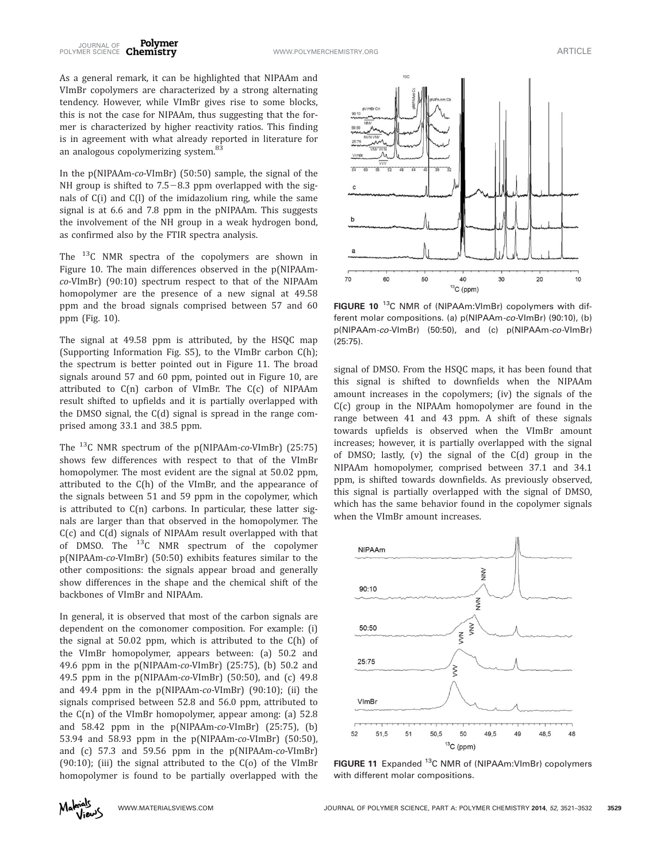As a general remark, it can be highlighted that NIPAAm and VImBr copolymers are characterized by a strong alternating tendency. However, while VImBr gives rise to some blocks, this is not the case for NIPAAm, thus suggesting that the former is characterized by higher reactivity ratios. This finding is in agreement with what already reported in literature for an analogous copolymerizing system.<sup>83</sup>

In the p(NIPAAm-co-VImBr) (50:50) sample, the signal of the NH group is shifted to  $7.5-8.3$  ppm overlapped with the signals of C(i) and C(l) of the imidazolium ring, while the same signal is at 6.6 and 7.8 ppm in the pNIPAAm. This suggests the involvement of the NH group in a weak hydrogen bond, as confirmed also by the FTIR spectra analysis.

The <sup>13</sup>C NMR spectra of the copolymers are shown in Figure 10. The main differences observed in the p(NIPAAmco-VImBr) (90:10) spectrum respect to that of the NIPAAm homopolymer are the presence of a new signal at 49.58 ppm and the broad signals comprised between 57 and 60 ppm (Fig. 10).

The signal at 49.58 ppm is attributed, by the HSQC map (Supporting Information Fig. S5), to the VImBr carbon C(h); the spectrum is better pointed out in Figure 11. The broad signals around 57 and 60 ppm, pointed out in Figure 10, are attributed to C(n) carbon of VImBr. The C(c) of NIPAAm result shifted to upfields and it is partially overlapped with the DMSO signal, the C(d) signal is spread in the range comprised among 33.1 and 38.5 ppm.

The  $^{13}$ C NMR spectrum of the p(NIPAAm-co-VImBr) (25:75) shows few differences with respect to that of the VImBr homopolymer. The most evident are the signal at 50.02 ppm, attributed to the C(h) of the VImBr, and the appearance of the signals between 51 and 59 ppm in the copolymer, which is attributed to C(n) carbons. In particular, these latter signals are larger than that observed in the homopolymer. The C(c) and C(d) signals of NIPAAm result overlapped with that of DMSO. The 13C NMR spectrum of the copolymer p(NIPAAm-co-VImBr) (50:50) exhibits features similar to the other compositions: the signals appear broad and generally show differences in the shape and the chemical shift of the backbones of VImBr and NIPAAm.

In general, it is observed that most of the carbon signals are dependent on the comonomer composition. For example: (i) the signal at 50.02 ppm, which is attributed to the C(h) of the VImBr homopolymer, appears between: (a) 50.2 and 49.6 ppm in the p(NIPAAm-co-VImBr) (25:75), (b) 50.2 and 49.5 ppm in the p(NIPAAm-co-VImBr) (50:50), and (c) 49.8 and 49.4 ppm in the p(NIPAAm-co-VImBr) (90:10); (ii) the signals comprised between 52.8 and 56.0 ppm, attributed to the C(n) of the VImBr homopolymer, appear among: (a) 52.8 and 58.42 ppm in the p(NIPAAm-co-VImBr) (25:75), (b) 53.94 and 58.93 ppm in the p(NIPAAm-co-VImBr) (50:50), and (c) 57.3 and 59.56 ppm in the p(NIPAAm-co-VImBr)  $(90:10)$ ; (iii) the signal attributed to the  $C(0)$  of the VImBr homopolymer is found to be partially overlapped with the



FIGURE 10<sup>13</sup>C NMR of (NIPAAm:VImBr) copolymers with different molar compositions. (a) p(NIPAAm-co-VImBr) (90:10), (b) p(NIPAAm-co-VImBr) (50:50), and (c) p(NIPAAm-co-VImBr) (25:75).

signal of DMSO. From the HSQC maps, it has been found that this signal is shifted to downfields when the NIPAAm amount increases in the copolymers; (iv) the signals of the C(c) group in the NIPAAm homopolymer are found in the range between 41 and 43 ppm. A shift of these signals towards upfields is observed when the VImBr amount increases; however, it is partially overlapped with the signal of DMSO; lastly, (v) the signal of the C(d) group in the NIPAAm homopolymer, comprised between 37.1 and 34.1 ppm, is shifted towards downfields. As previously observed, this signal is partially overlapped with the signal of DMSO, which has the same behavior found in the copolymer signals when the VImBr amount increases.



FIGURE 11 Expanded <sup>13</sup>C NMR of (NIPAAm:VImBr) copolymers with different molar compositions.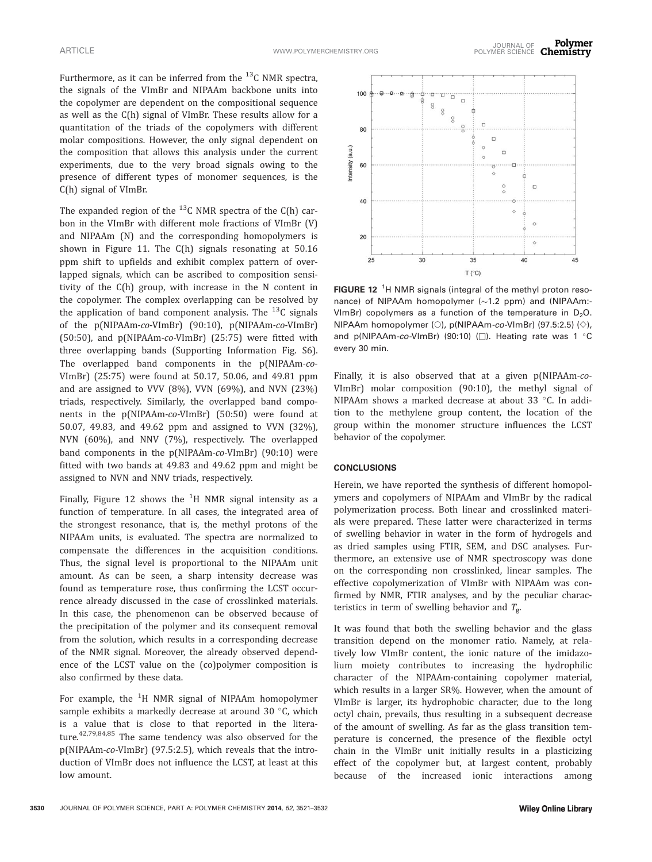Furthermore, as it can be inferred from the  $^{13}$ C NMR spectra, the signals of the VImBr and NIPAAm backbone units into the copolymer are dependent on the compositional sequence as well as the C(h) signal of VImBr. These results allow for a quantitation of the triads of the copolymers with different molar compositions. However, the only signal dependent on the composition that allows this analysis under the current experiments, due to the very broad signals owing to the presence of different types of monomer sequences, is the C(h) signal of VImBr.

The expanded region of the  $^{13}$ C NMR spectra of the C(h) carbon in the VImBr with different mole fractions of VImBr (V) and NIPAAm (N) and the corresponding homopolymers is shown in Figure 11. The C(h) signals resonating at 50.16 ppm shift to upfields and exhibit complex pattern of overlapped signals, which can be ascribed to composition sensitivity of the C(h) group, with increase in the N content in the copolymer. The complex overlapping can be resolved by the application of band component analysis. The  $^{13}$ C signals of the p(NIPAAm-co-VImBr) (90:10), p(NIPAAm-co-VImBr) (50:50), and p(NIPAAm-co-VImBr) (25:75) were fitted with three overlapping bands (Supporting Information Fig. S6). The overlapped band components in the p(NIPAAm-co-VImBr) (25:75) were found at 50.17, 50.06, and 49.81 ppm and are assigned to VVV (8%), VVN (69%), and NVN (23%) triads, respectively. Similarly, the overlapped band components in the p(NIPAAm-co-VImBr) (50:50) were found at 50.07, 49.83, and 49.62 ppm and assigned to VVN (32%), NVN (60%), and NNV (7%), respectively. The overlapped band components in the p(NIPAAm-co-VImBr) (90:10) were fitted with two bands at 49.83 and 49.62 ppm and might be assigned to NVN and NNV triads, respectively.

Finally, Figure 12 shows the  ${}^{1}$ H NMR signal intensity as a function of temperature. In all cases, the integrated area of the strongest resonance, that is, the methyl protons of the NIPAAm units, is evaluated. The spectra are normalized to compensate the differences in the acquisition conditions. Thus, the signal level is proportional to the NIPAAm unit amount. As can be seen, a sharp intensity decrease was found as temperature rose, thus confirming the LCST occurrence already discussed in the case of crosslinked materials. In this case, the phenomenon can be observed because of the precipitation of the polymer and its consequent removal from the solution, which results in a corresponding decrease of the NMR signal. Moreover, the already observed dependence of the LCST value on the (co)polymer composition is also confirmed by these data.

For example, the <sup>1</sup>H NMR signal of NIPAAm homopolymer sample exhibits a markedly decrease at around 30  $^{\circ}$ C, which is a value that is close to that reported in the literature.<sup>42,79,84,85</sup> The same tendency was also observed for the p(NIPAAm-co-VImBr) (97.5:2.5), which reveals that the introduction of VImBr does not influence the LCST, at least at this low amount.



FIGURE 12<sup>1</sup>H NMR signals (integral of the methyl proton resonance) of NIPAAm homopolymer  $(\sim1.2$  ppm) and (NIPAAm:-VImBr) copolymers as a function of the temperature in  $D_2O$ . NIPAAm homopolymer (○), p(NIPAAm*-co-*VImBr) (97.5:2.5) (◇), and p(NIPAAm-co-VImBr) (90:10) ( $\square$ ). Heating rate was 1 °C every 30 min.

Finally, it is also observed that at a given p(NIPAAm-co-VImBr) molar composition (90:10), the methyl signal of NIPAAm shows a marked decrease at about 33  $^{\circ}$ C. In addition to the methylene group content, the location of the group within the monomer structure influences the LCST behavior of the copolymer.

#### **CONCLUSIONS**

Herein, we have reported the synthesis of different homopolymers and copolymers of NIPAAm and VImBr by the radical polymerization process. Both linear and crosslinked materials were prepared. These latter were characterized in terms of swelling behavior in water in the form of hydrogels and as dried samples using FTIR, SEM, and DSC analyses. Furthermore, an extensive use of NMR spectroscopy was done on the corresponding non crosslinked, linear samples. The effective copolymerization of VImBr with NIPAAm was confirmed by NMR, FTIR analyses, and by the peculiar characteristics in term of swelling behavior and  $T_{g}$ .

It was found that both the swelling behavior and the glass transition depend on the monomer ratio. Namely, at relatively low VImBr content, the ionic nature of the imidazolium moiety contributes to increasing the hydrophilic character of the NIPAAm-containing copolymer material, which results in a larger SR%. However, when the amount of VImBr is larger, its hydrophobic character, due to the long octyl chain, prevails, thus resulting in a subsequent decrease of the amount of swelling. As far as the glass transition temperature is concerned, the presence of the flexible octyl chain in the VImBr unit initially results in a plasticizing effect of the copolymer but, at largest content, probably because of the increased ionic interactions among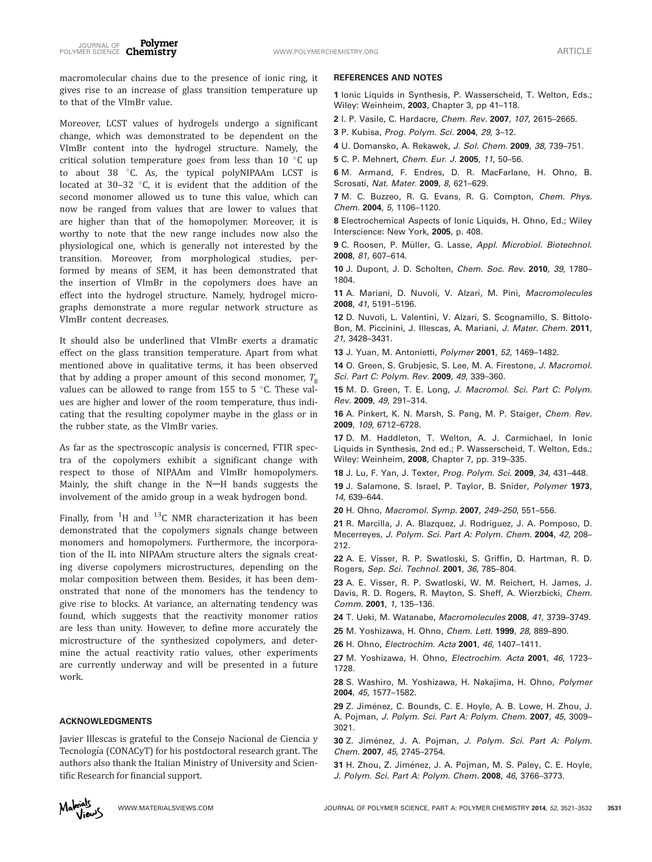macromolecular chains due to the presence of ionic ring, it gives rise to an increase of glass transition temperature up to that of the VImBr value.

Moreover, LCST values of hydrogels undergo a significant change, which was demonstrated to be dependent on the VImBr content into the hydrogel structure. Namely, the critical solution temperature goes from less than  $10^{\circ}$ C up to about 38 °C. As, the typical polyNIPAAm LCST is located at  $30-32$  °C, it is evident that the addition of the second monomer allowed us to tune this value, which can now be ranged from values that are lower to values that are higher than that of the homopolymer. Moreover, it is worthy to note that the new range includes now also the physiological one, which is generally not interested by the transition. Moreover, from morphological studies, performed by means of SEM, it has been demonstrated that the insertion of VImBr in the copolymers does have an effect into the hydrogel structure. Namely, hydrogel micrographs demonstrate a more regular network structure as VImBr content decreases.

It should also be underlined that VImBr exerts a dramatic effect on the glass transition temperature. Apart from what mentioned above in qualitative terms, it has been observed that by adding a proper amount of this second monomer,  $T_g$ values can be allowed to range from  $155$  to  $5$  °C. These values are higher and lower of the room temperature, thus indicating that the resulting copolymer maybe in the glass or in the rubber state, as the VImBr varies.

As far as the spectroscopic analysis is concerned, FTIR spectra of the copolymers exhibit a significant change with respect to those of NIPAAm and VImBr homopolymers. Mainly, the shift change in the  $N-H$  bands suggests the involvement of the amido group in a weak hydrogen bond.

Finally, from  $^{1}$ H and  $^{13}$ C NMR characterization it has been demonstrated that the copolymers signals change between monomers and homopolymers. Furthermore, the incorporation of the IL into NIPAAm structure alters the signals creating diverse copolymers microstructures, depending on the molar composition between them. Besides, it has been demonstrated that none of the monomers has the tendency to give rise to blocks. At variance, an alternating tendency was found, which suggests that the reactivity monomer ratios are less than unity. However, to define more accurately the microstructure of the synthesized copolymers, and determine the actual reactivity ratio values, other experiments are currently underway and will be presented in a future work.

#### ACKNOWLEDGMENTS

Javier Illescas is grateful to the Consejo Nacional de Ciencia y Tecnología (CONACyT) for his postdoctoral research grant. The authors also thank the Italian Ministry of University and Scientific Research for financial support.

#### REFERENCES AND NOTES

1 Ionic Liquids in Synthesis, P. Wasserscheid, T. Welton, Eds.; Wiley: Weinheim, 2003, Chapter 3, pp 41–118.

2 I. P. Vasile, C. Hardacre, Chem. Rev. 2007, 107, 2615–2665.

3 P. Kubisa, Prog. Polym. Sci. 2004, 29, 3-12.

4 U. Domansko, A. Rekawek, J. Sol. Chem. 2009, 38, 739–751.

5 C. P. Mehnert, Chem. Eur. J. 2005, 11, 50–56.

6 M. Armand, F. Endres, D. R. MacFarlane, H. Ohno, B. Scrosati, Nat. Mater. 2009, 8, 621–629.

7 M. C. Buzzeo, R. G. Evans, R. G. Compton, Chem. Phys. Chem. 2004, 5, 1106–1120.

8 Electrochemical Aspects of Ionic Liquids, H. Ohno, Ed.; Wiley Interscience: New York, 2005, p. 408.

9 C. Roosen, P. Müller, G. Lasse, Appl. Microbiol. Biotechnol. 2008, 81, 607–614.

10 J. Dupont, J. D. Scholten, Chem. Soc. Rev. 2010, 39, 1780-1804.

11 A. Mariani, D. Nuvoli, V. Alzari, M. Pini, Macromolecules 2008, 41, 5191–5196.

12 D. Nuvoli, L. Valentini, V. Alzari, S. Scognamillo, S. Bittolo-Bon, M. Piccinini, J. Illescas, A. Mariani, J. Mater. Chem. 2011, 21, 3428–3431.

13 J. Yuan, M. Antonietti, Polymer 2001, 52, 1469-1482.

14 O. Green, S. Grubjesic, S. Lee, M. A. Firestone, J. Macromol. Sci. Part C: Polym. Rev. 2009, 49, 339-360.

15 M. D. Green, T. E. Long, J. Macromol. Sci. Part C: Polym. Rev. 2009, 49, 291–314.

16 A. Pinkert, K. N. Marsh, S. Pang, M. P. Staiger, Chem. Rev. 2009, 109, 6712–6728.

17 D. M. Haddleton, T. Welton, A. J. Carmichael, In Ionic Liquids in Synthesis, 2nd ed.; P. Wasserscheid, T. Welton, Eds.; Wiley: Weinheim, 2008, Chapter 7, pp. 319–335.

18 J. Lu, F. Yan, J. Texter, Prog. Polym. Sci. 2009, 34, 431-448.

19 J. Salamone, S. Israel, P. Taylor, B. Snider, Polymer 1973, 14, 639–644.

20 H. Ohno, Macromol. Symp. 2007, 249–250, 551–556.

21 R. Marcilla, J. A. Blazquez, J. Rodriguez, J. A. Pomposo, D. Mecerreyes, J. Polym. Sci. Part A: Polym. Chem. 2004, 42, 208– 212.

22 A. E. Visser, R. P. Swatloski, S. Griffin, D. Hartman, R. D. Rogers, Sep. Sci. Technol. 2001, 36, 785–804.

23 A. E. Visser, R. P. Swatloski, W. M. Reichert, H. James, J. Davis, R. D. Rogers, R. Mayton, S. Sheff, A. Wierzbicki, Chem. Comm. 2001, 1, 135–136.

24 T. Ueki, M. Watanabe, Macromolecules 2008, 41, 3739–3749.

25 M. Yoshizawa, H. Ohno, Chem. Lett. 1999, 28, 889–890.

26 H. Ohno, Electrochim. Acta 2001, 46, 1407–1411.

27 M. Yoshizawa, H. Ohno, Electrochim. Acta 2001, 46, 1723– 1728.

28 S. Washiro, M. Yoshizawa, H. Nakajima, H. Ohno, Polymer 2004, 45, 1577–1582.

29 Z. Jiménez, C. Bounds, C. E. Hoyle, A. B. Lowe, H. Zhou, J. A. Pojman, J. Polym. Sci. Part A: Polym. Chem. 2007, 45, 3009– 3021.

30 Z. Jiménez, J. A. Pojman, J. Polym. Sci. Part A: Polym. Chem. 2007, 45, 2745–2754.

31 H. Zhou, Z. Jiménez, J. A. Pojman, M. S. Paley, C. E. Hoyle, J. Polym. Sci. Part A: Polym. Chem. 2008, 46, 3766–3773.